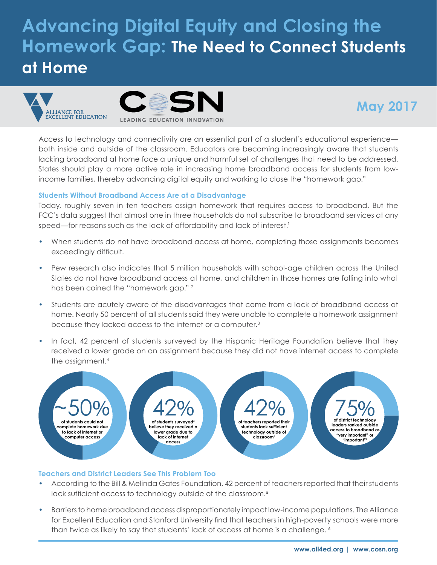# **Advancing Digital Equity and Closing the Homework Gap: The Need to Connect Students at Home**



## **May 2017**

Access to technology and connectivity are an essential part of a student's educational experience both inside and outside of the classroom. Educators are becoming increasingly aware that students lacking broadband at home face a unique and harmful set of challenges that need to be addressed. States should play a more active role in increasing home broadband access for students from lowincome families, thereby advancing digital equity and working to close the "homework gap."

#### **Students Without Broadband Access Are at a Disadvantage**

Today, roughly seven in ten teachers assign homework that requires access to broadband. But the FCC's data suggest that almost one in three households do not subscribe to broadband services at any speed—for reasons such as the lack of affordability and lack of interest.<sup>1</sup>

- **•** When students do not have broadband access at home, completing those assignments becomes exceedingly difficult.
- **•** Pew research also indicates that 5 million households with school-age children across the United States do not have broadband access at home, and children in those homes are falling into what has been coined the "homework gap." 2
- **•** Students are acutely aware of the disadvantages that come from a lack of broadband access at home. Nearly 50 percent of all students said they were unable to complete a homework assignment because they lacked access to the internet or a computer.3
- **•** In fact, 42 percent of students surveyed by the Hispanic Heritage Foundation believe that they received a lower grade on an assignment because they did not have internet access to complete the assignment.<sup>4</sup>



#### **Teachers and District Leaders See This Problem Too**

- **•** According to the Bill & Melinda Gates Foundation, 42 percent of teachers reported that their students lack sufficient access to technology outside of the classroom.**<sup>5</sup>**
- **•** Barriers to home broadband access disproportionately impact low-income populations. The Alliance for Excellent Education and Stanford University find that teachers in high-poverty schools were more than twice as likely to say that students' lack of access at home is a challenge.  $6$